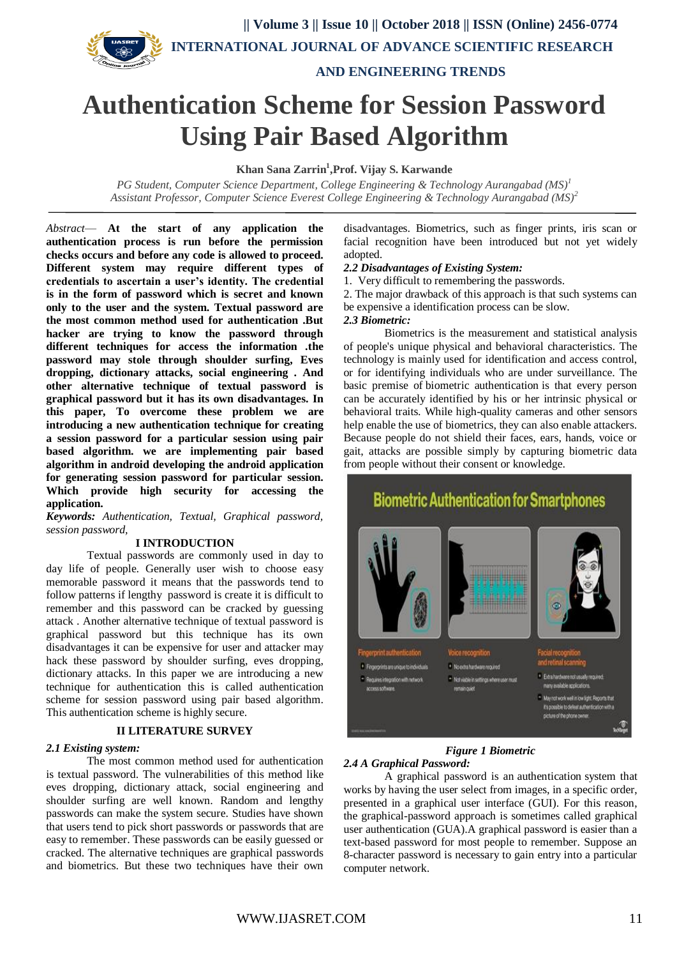

 **AND ENGINEERING TRENDS**

# **Authentication Scheme for Session Password Using Pair Based Algorithm**

**Khan Sana Zarrin<sup>1</sup> ,Prof. Vijay S. Karwande**

*PG Student, Computer Science Department, College Engineering & Technology Aurangabad (MS)<sup>1</sup> Assistant Professor, Computer Science Everest College Engineering & Technology Aurangabad (MS)<sup>2</sup>*

*Abstract*— **At the start of any application the authentication process is run before the permission checks occurs and before any code is allowed to proceed. Different system may require different types of credentials to ascertain a user's identity. The credential is in the form of password which is secret and known only to the user and the system. Textual password are the most common method used for authentication .But hacker are trying to know the password through different techniques for access the information .the password may stole through shoulder surfing, Eves dropping, dictionary attacks, social engineering . And other alternative technique of textual password is graphical password but it has its own disadvantages. In this paper, To overcome these problem we are introducing a new authentication technique for creating a session password for a particular session using pair based algorithm. we are implementing pair based algorithm in android developing the android application for generating session password for particular session. Which provide high security for accessing the application.**

*Keywords: Authentication, Textual, Graphical password, session password,* 

### **I INTRODUCTION**

Textual passwords are commonly used in day to day life of people. Generally user wish to choose easy memorable password it means that the passwords tend to follow patterns if lengthy password is create it is difficult to remember and this password can be cracked by guessing attack . Another alternative technique of textual password is graphical password but this technique has its own disadvantages it can be expensive for user and attacker may hack these password by shoulder surfing, eves dropping, dictionary attacks. In this paper we are introducing a new technique for authentication this is called authentication scheme for session password using pair based algorithm. This authentication scheme is highly secure.

### **II LITERATURE SURVEY**

### *2.1 Existing system:*

The most common method used for authentication is textual password. The vulnerabilities of this method like eves dropping, dictionary attack, social engineering and shoulder surfing are well known. Random and lengthy passwords can make the system secure. Studies have shown that users tend to pick short passwords or passwords that are easy to remember. These passwords can be easily guessed or cracked. The alternative techniques are graphical passwords and biometrics. But these two techniques have their own

disadvantages. Biometrics, such as finger prints, iris scan or facial recognition have been introduced but not yet widely adopted.

### *2.2 Disadvantages of Existing System:*

1. Very difficult to remembering the passwords.

2. The major drawback of this approach is that such systems can be expensive a identification process can be slow.

### *2.3 Biometric:*

Biometrics is the measurement and statistical analysis of people's unique physical and behavioral characteristics. The technology is mainly used for identification and access control, or for identifying individuals who are under surveillance. The basic premise of [biometric authentication](https://searchsecurity.techtarget.com/definition/biometric-authentication) is that every person can be accurately identified by his or her intrinsic physical or behavioral traits. While high-quality cameras and other sensors help enable the use of biometrics, they can also enable attackers. Because people do not shield their faces, ears, hands, voice or gait, attacks are possible simply by capturing biometric data from people without their consent or knowledge.

**Biometric Authentication for Smartphones** Voice recognition <sup>#</sup> Fingerprints are unique to individuals \* No extra hardware required renot usually required: Requires integration with network Not viable in settings where user m ny available applications. ss software May not work well in low light. Reports that it's possible to defeat authentication with picture of the phone owner

## *Figure 1 Biometric*

### *2.4 A Graphical Password:*

A graphical password is an [authentication](https://searchsecurity.techtarget.com/definition/authentication) system that works by having the user select from [images](https://whatis.techtarget.com/definition/image), in a specific order, presented in a graphical user interface [\(GUI\)](https://searchwindevelopment.techtarget.com/definition/GUI). For this reason, the graphical-password approach is sometimes called graphical user authentication (GUA).A graphical password is easier than a text-based password for most people to remember. Suppose an 8-character password is necessary to gain entry into a particular computer network.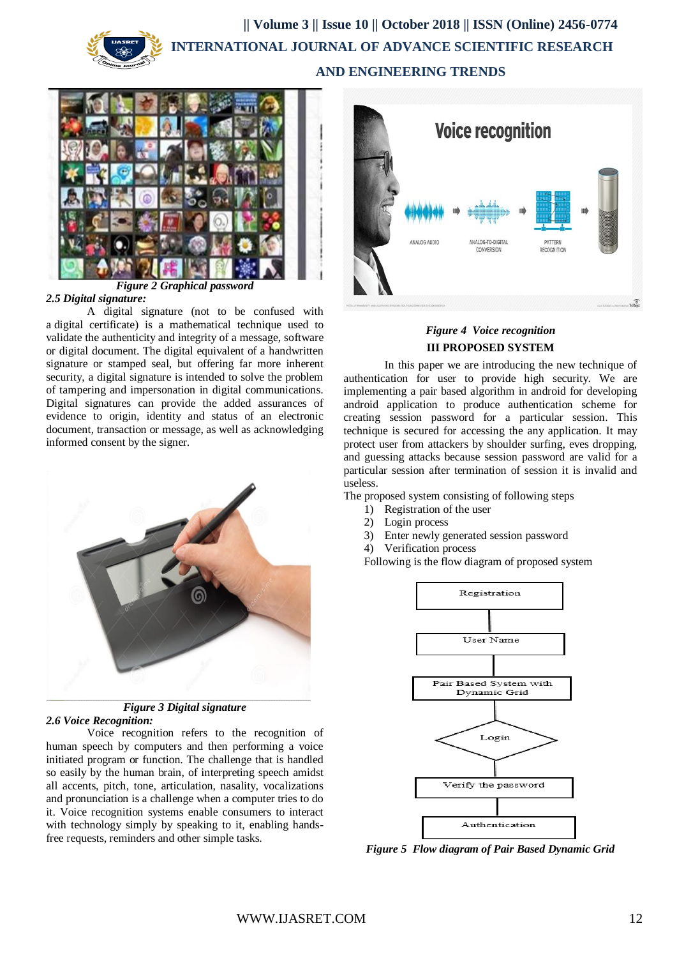# **|| Volume 3 || Issue 10 || October 2018 || ISSN (Online) 2456-0774 INTERNATIONAL JOURNAL OF ADVANCE SCIENTIFIC RESEARCH**

 **AND ENGINEERING TRENDS**



### *2.5 Digital signature:*

A digital signature (not to be confused with a [digital certificate\)](https://searchsecurity.techtarget.com/definition/digital-certificate) is a mathematical technique used to validate the authenticity and integrity of a message, software or digital document. The digital equivalent of a handwritten signature or stamped seal, but offering far more inherent security, a digital signature is intended to solve the problem of tampering and impersonation in digital communications. Digital signatures can provide the added assurances of evidence to origin, identity and status of an electronic document, transaction or message, as well as acknowledging informed consent by the signer.



*Figure 3 Digital signature 2.6 Voice Recognition:* 

Voice recognition refers to the recognition of human speech by computers and then performing a voice initiated program or function. The challenge that is handled so easily by the human brain, of interpreting speech amidst all accents, pitch, tone, articulation, nasality, vocalizations and pronunciation is a challenge when a computer tries to do it. Voice recognition systems enable consumers to interact with technology simply by speaking to it, enabling handsfree requests, reminders and other simple tasks.



# *Figure 4 Voice recognition* **III PROPOSED SYSTEM**

In this paper we are introducing the new technique of authentication for user to provide high security. We are implementing a pair based algorithm in android for developing android application to produce authentication scheme for creating session password for a particular session. This technique is secured for accessing the any application. It may protect user from attackers by shoulder surfing, eves dropping, and guessing attacks because session password are valid for a particular session after termination of session it is invalid and useless.

The proposed system consisting of following steps

- 1) Registration of the user
- 2) Login process
- 3) Enter newly generated session password
- 4) Verification process

Following is the flow diagram of proposed system



*Figure 5 Flow diagram of Pair Based Dynamic Grid*